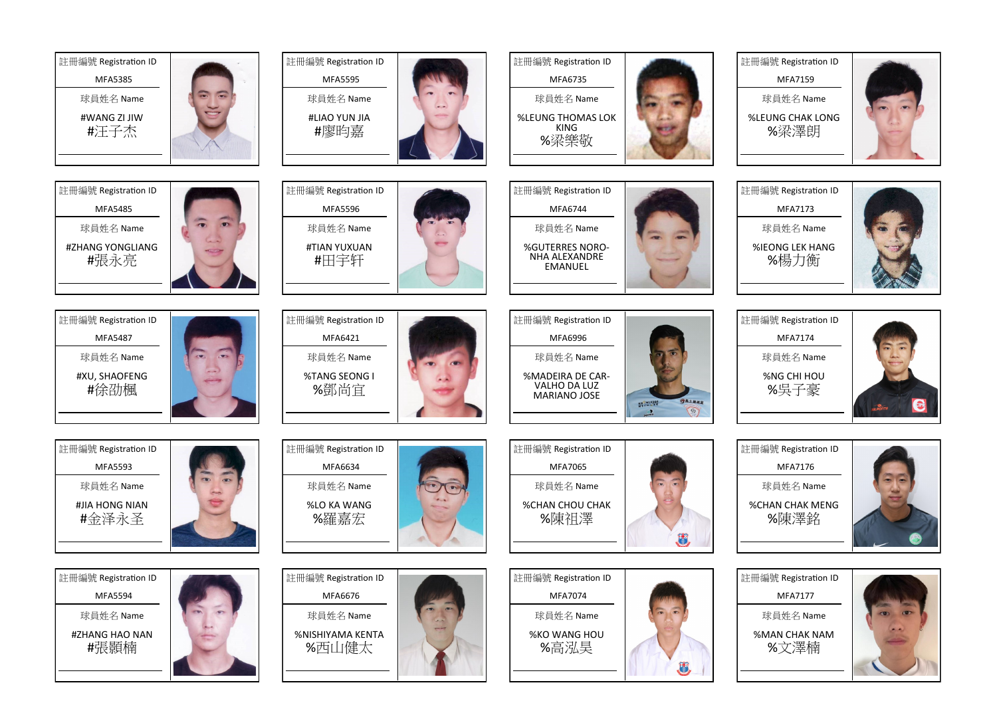